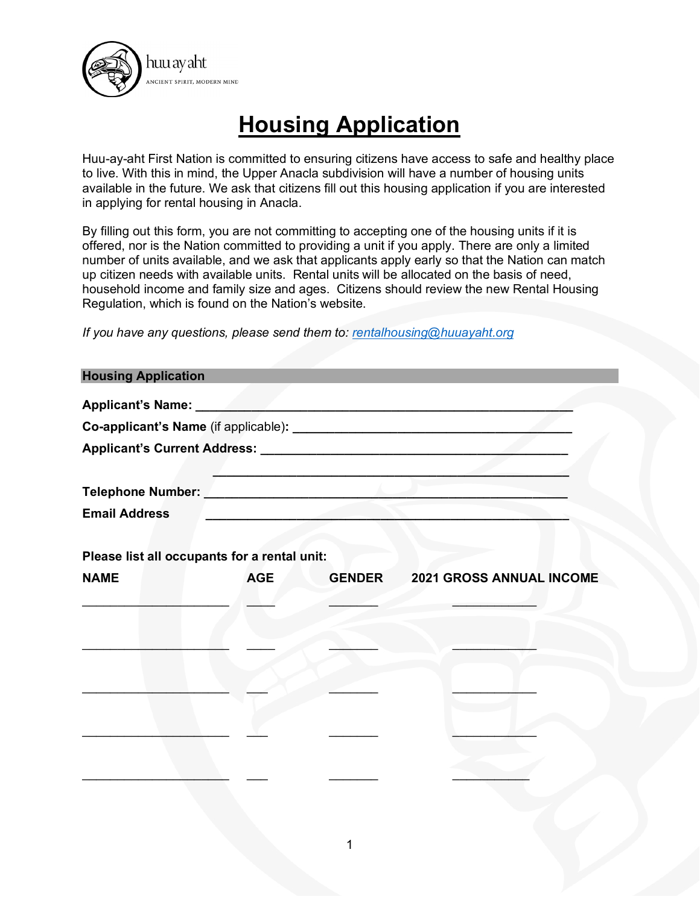

## **Housing Application**

Huu-ay-aht First Nation is committed to ensuring citizens have access to safe and healthy place to live. With this in mind, the Upper Anacla subdivision will have a number of housing units available in the future. We ask that citizens fill out this housing application if you are interested in applying for rental housing in Anacla.

By filling out this form, you are not committing to accepting one of the housing units if it is offered, nor is the Nation committed to providing a unit if you apply. There are only a limited number of units available, and we ask that applicants apply early so that the Nation can match up citizen needs with available units. Rental units will be allocated on the basis of need, household income and family size and ages. Citizens should review the new Rental Housing Regulation, which is found on the Nation's website.

*If you have any questions, please send them to: [rentalhousing@huuayaht.org](mailto:rentalhousing@huuayaht.org)*

| <b>Housing Application</b> |                                              |                                        |
|----------------------------|----------------------------------------------|----------------------------------------|
|                            |                                              |                                        |
|                            |                                              |                                        |
|                            |                                              |                                        |
|                            |                                              |                                        |
|                            |                                              |                                        |
| <b>Email Address</b>       |                                              |                                        |
|                            |                                              |                                        |
|                            | Please list all occupants for a rental unit: |                                        |
| <b>NAME</b>                | <b>AGE</b>                                   | <b>GENDER 2021 GROSS ANNUAL INCOME</b> |
|                            |                                              |                                        |
|                            |                                              |                                        |
|                            |                                              |                                        |
|                            |                                              |                                        |
|                            |                                              |                                        |
|                            |                                              |                                        |
|                            |                                              |                                        |
|                            |                                              |                                        |
|                            |                                              |                                        |
|                            |                                              |                                        |
|                            |                                              |                                        |